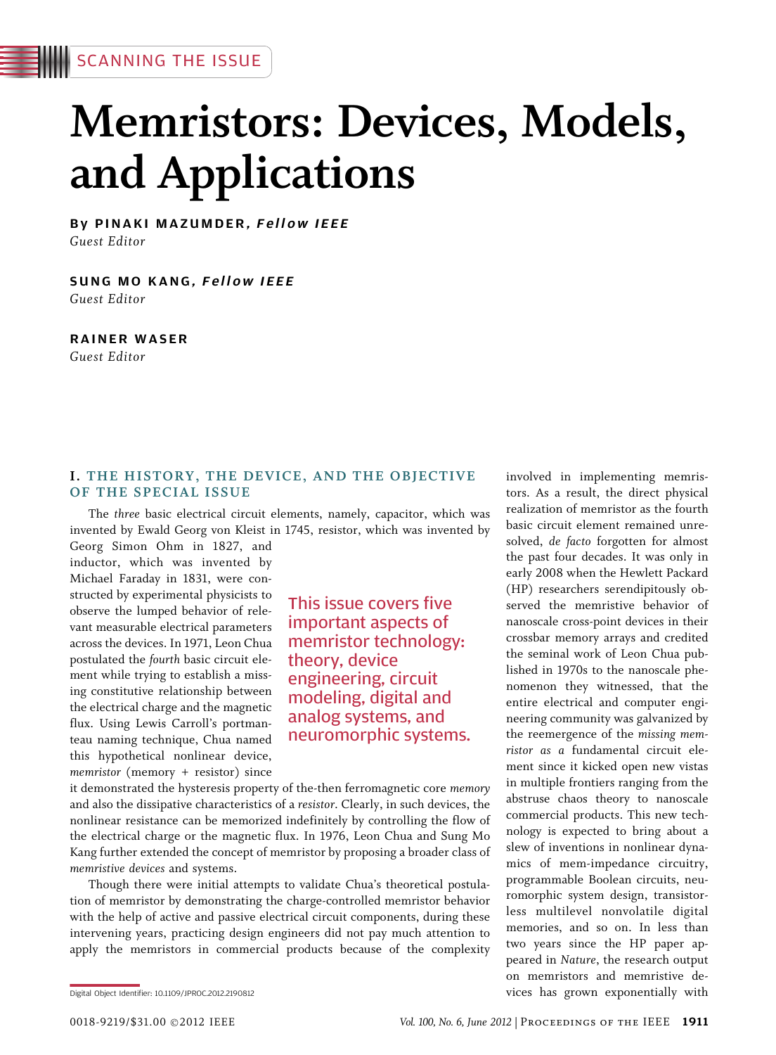# Memristors: Devices, Models, and Applications

By PINAKI MAZUMDER, Fellow IEEE Guest Editor

SUNG MO KANG, Fellow IEEE Guest Editor

RAINER WASER Guest Editor

## I. THE HISTORY, THE DEVICE, AND THE OBJECTIVE OF THE SPECIAL ISSUE

The three basic electrical circuit elements, namely, capacitor, which was invented by Ewald Georg von Kleist in 1745, resistor, which was invented by

Georg Simon Ohm in 1827, and inductor, which was invented by Michael Faraday in 1831, were constructed by experimental physicists to observe the lumped behavior of relevant measurable electrical parameters across the devices. In 1971, Leon Chua postulated the fourth basic circuit element while trying to establish a missing constitutive relationship between the electrical charge and the magnetic flux. Using Lewis Carroll's portmanteau naming technique, Chua named this hypothetical nonlinear device, memristor (memory + resistor) since

This issue covers five important aspects of memristor technology: theory, device engineering, circuit modeling, digital and analog systems, and neuromorphic systems.

it demonstrated the hysteresis property of the-then ferromagnetic core memory and also the dissipative characteristics of a resistor. Clearly, in such devices, the nonlinear resistance can be memorized indefinitely by controlling the flow of the electrical charge or the magnetic flux. In 1976, Leon Chua and Sung Mo Kang further extended the concept of memristor by proposing a broader class of memristive devices and systems.

Though there were initial attempts to validate Chua's theoretical postulation of memristor by demonstrating the charge-controlled memristor behavior with the help of active and passive electrical circuit components, during these intervening years, practicing design engineers did not pay much attention to apply the memristors in commercial products because of the complexity

tors. As a result, the direct physical realization of memristor as the fourth basic circuit element remained unresolved, de facto forgotten for almost the past four decades. It was only in early 2008 when the Hewlett Packard (HP) researchers serendipitously observed the memristive behavior of nanoscale cross-point devices in their crossbar memory arrays and credited the seminal work of Leon Chua published in 1970s to the nanoscale phenomenon they witnessed, that the entire electrical and computer engineering community was galvanized by the reemergence of the missing memristor as a fundamental circuit element since it kicked open new vistas in multiple frontiers ranging from the abstruse chaos theory to nanoscale commercial products. This new technology is expected to bring about a slew of inventions in nonlinear dynamics of mem-impedance circuitry, programmable Boolean circuits, neuromorphic system design, transistorless multilevel nonvolatile digital memories, and so on. In less than two years since the HP paper appeared in Nature, the research output on memristors and memristive devices has grown exponentially with

involved in implementing memris-

Digital Object Identifier: 10.1109/JPROC.2012.2190812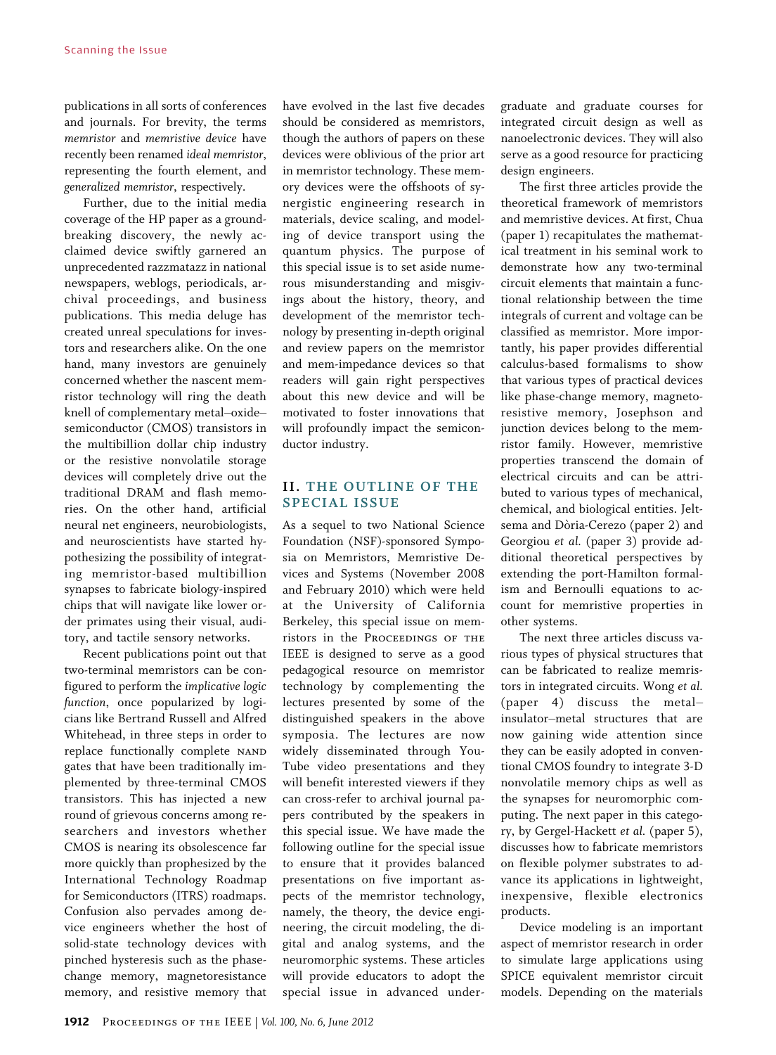publications in all sorts of conferences and journals. For brevity, the terms memristor and memristive device have recently been renamed ideal memristor, representing the fourth element, and generalized memristor, respectively.

Further, due to the initial media coverage of the HP paper as a groundbreaking discovery, the newly acclaimed device swiftly garnered an unprecedented razzmatazz in national newspapers, weblogs, periodicals, archival proceedings, and business publications. This media deluge has created unreal speculations for investors and researchers alike. On the one hand, many investors are genuinely concerned whether the nascent memristor technology will ring the death knell of complementary metal-oxidesemiconductor (CMOS) transistors in the multibillion dollar chip industry or the resistive nonvolatile storage devices will completely drive out the traditional DRAM and flash memories. On the other hand, artificial neural net engineers, neurobiologists, and neuroscientists have started hypothesizing the possibility of integrating memristor-based multibillion synapses to fabricate biology-inspired chips that will navigate like lower order primates using their visual, auditory, and tactile sensory networks.

Recent publications point out that two-terminal memristors can be configured to perform the implicative logic function, once popularized by logicians like Bertrand Russell and Alfred Whitehead, in three steps in order to replace functionally complete NAND gates that have been traditionally implemented by three-terminal CMOS transistors. This has injected a new round of grievous concerns among researchers and investors whether CMOS is nearing its obsolescence far more quickly than prophesized by the International Technology Roadmap for Semiconductors (ITRS) roadmaps. Confusion also pervades among device engineers whether the host of solid-state technology devices with pinched hysteresis such as the phasechange memory, magnetoresistance memory, and resistive memory that

have evolved in the last five decades should be considered as memristors, though the authors of papers on these devices were oblivious of the prior art in memristor technology. These memory devices were the offshoots of synergistic engineering research in materials, device scaling, and modeling of device transport using the quantum physics. The purpose of this special issue is to set aside numerous misunderstanding and misgivings about the history, theory, and development of the memristor technology by presenting in-depth original and review papers on the memristor and mem-impedance devices so that readers will gain right perspectives about this new device and will be motivated to foster innovations that will profoundly impact the semiconductor industry.

### II. THE OUTLINE OF THE SPECIAL ISSUE

As a sequel to two National Science Foundation (NSF)-sponsored Symposia on Memristors, Memristive Devices and Systems (November 2008 and February 2010) which were held at the University of California Berkeley, this special issue on memristors in the Proceedings of the IEEE is designed to serve as a good pedagogical resource on memristor technology by complementing the lectures presented by some of the distinguished speakers in the above symposia. The lectures are now widely disseminated through You-Tube video presentations and they will benefit interested viewers if they can cross-refer to archival journal papers contributed by the speakers in this special issue. We have made the following outline for the special issue to ensure that it provides balanced presentations on five important aspects of the memristor technology, namely, the theory, the device engineering, the circuit modeling, the digital and analog systems, and the neuromorphic systems. These articles will provide educators to adopt the special issue in advanced undergraduate and graduate courses for integrated circuit design as well as nanoelectronic devices. They will also serve as a good resource for practicing design engineers.

The first three articles provide the theoretical framework of memristors and memristive devices. At first, Chua (paper 1) recapitulates the mathematical treatment in his seminal work to demonstrate how any two-terminal circuit elements that maintain a functional relationship between the time integrals of current and voltage can be classified as memristor. More importantly, his paper provides differential calculus-based formalisms to show that various types of practical devices like phase-change memory, magnetoresistive memory, Josephson and junction devices belong to the memristor family. However, memristive properties transcend the domain of electrical circuits and can be attributed to various types of mechanical, chemical, and biological entities. Jeltsema and Dòria-Cerezo (paper 2) and Georgiou et al. (paper 3) provide additional theoretical perspectives by extending the port-Hamilton formalism and Bernoulli equations to account for memristive properties in other systems.

The next three articles discuss various types of physical structures that can be fabricated to realize memristors in integrated circuits. Wong et al. (paper 4) discuss the metalinsulator-metal structures that are now gaining wide attention since they can be easily adopted in conventional CMOS foundry to integrate 3-D nonvolatile memory chips as well as the synapses for neuromorphic computing. The next paper in this category, by Gergel-Hackett et al. (paper 5), discusses how to fabricate memristors on flexible polymer substrates to advance its applications in lightweight, inexpensive, flexible electronics products.

Device modeling is an important aspect of memristor research in order to simulate large applications using SPICE equivalent memristor circuit models. Depending on the materials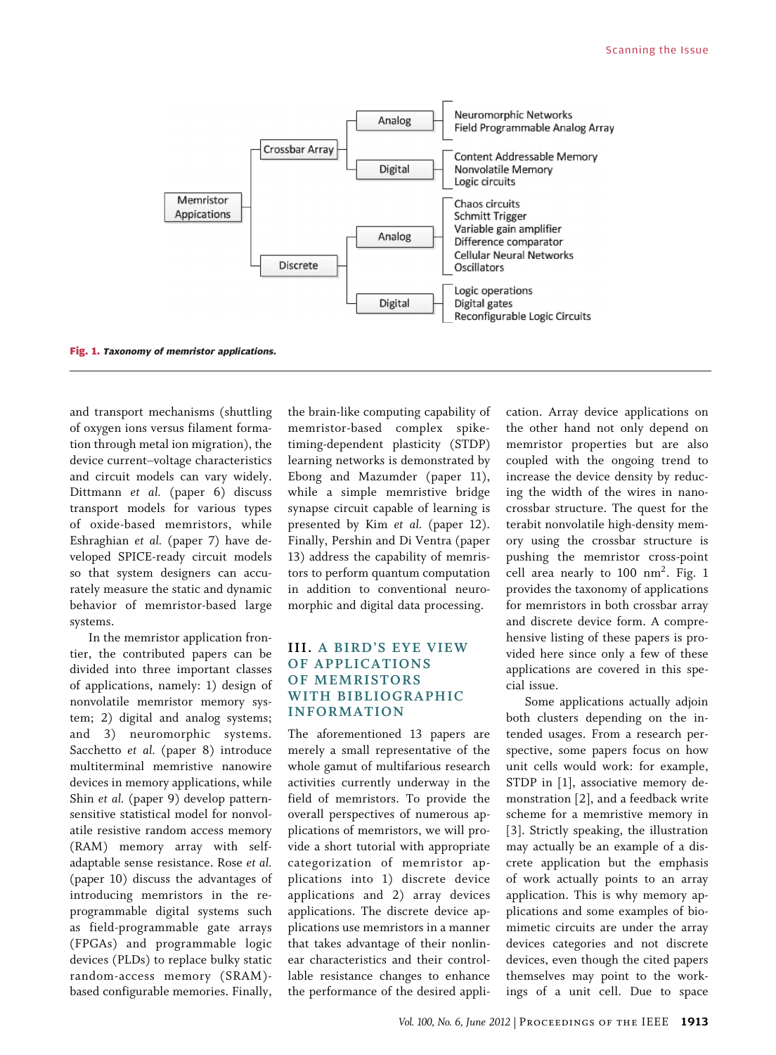

Fig. 1. Taxonomy of memristor applications.

and transport mechanisms (shuttling of oxygen ions versus filament formation through metal ion migration), the device current-voltage characteristics and circuit models can vary widely. Dittmann et al. (paper 6) discuss transport models for various types of oxide-based memristors, while Eshraghian et al. (paper 7) have developed SPICE-ready circuit models so that system designers can accurately measure the static and dynamic behavior of memristor-based large systems.

In the memristor application frontier, the contributed papers can be divided into three important classes of applications, namely: 1) design of nonvolatile memristor memory system; 2) digital and analog systems; and 3) neuromorphic systems. Sacchetto et al. (paper 8) introduce multiterminal memristive nanowire devices in memory applications, while Shin et al. (paper 9) develop patternsensitive statistical model for nonvolatile resistive random access memory (RAM) memory array with selfadaptable sense resistance. Rose et al. (paper 10) discuss the advantages of introducing memristors in the reprogrammable digital systems such as field-programmable gate arrays (FPGAs) and programmable logic devices (PLDs) to replace bulky static random-access memory (SRAM) based configurable memories. Finally,

the brain-like computing capability of memristor-based complex spiketiming-dependent plasticity (STDP) learning networks is demonstrated by Ebong and Mazumder (paper 11), while a simple memristive bridge synapse circuit capable of learning is presented by Kim et al. (paper 12). Finally, Pershin and Di Ventra (paper 13) address the capability of memristors to perform quantum computation in addition to conventional neuromorphic and digital data processing.

## III. A BIRD'S EYE VIEW OF APPLICATIONS OF MEMRISTORS WITH BIBLIOGRAPHIC INFORMATION

The aforementioned 13 papers are merely a small representative of the whole gamut of multifarious research activities currently underway in the field of memristors. To provide the overall perspectives of numerous applications of memristors, we will provide a short tutorial with appropriate categorization of memristor applications into 1) discrete device applications and 2) array devices applications. The discrete device applications use memristors in a manner that takes advantage of their nonlinear characteristics and their controllable resistance changes to enhance the performance of the desired application. Array device applications on the other hand not only depend on memristor properties but are also coupled with the ongoing trend to increase the device density by reducing the width of the wires in nanocrossbar structure. The quest for the terabit nonvolatile high-density memory using the crossbar structure is pushing the memristor cross-point cell area nearly to  $100 \text{ nm}^2$ . Fig. 1 provides the taxonomy of applications for memristors in both crossbar array and discrete device form. A comprehensive listing of these papers is provided here since only a few of these applications are covered in this special issue.

Some applications actually adjoin both clusters depending on the intended usages. From a research perspective, some papers focus on how unit cells would work: for example, STDP in [1], associative memory demonstration [2], and a feedback write scheme for a memristive memory in [3]. Strictly speaking, the illustration may actually be an example of a discrete application but the emphasis of work actually points to an array application. This is why memory applications and some examples of biomimetic circuits are under the array devices categories and not discrete devices, even though the cited papers themselves may point to the workings of a unit cell. Due to space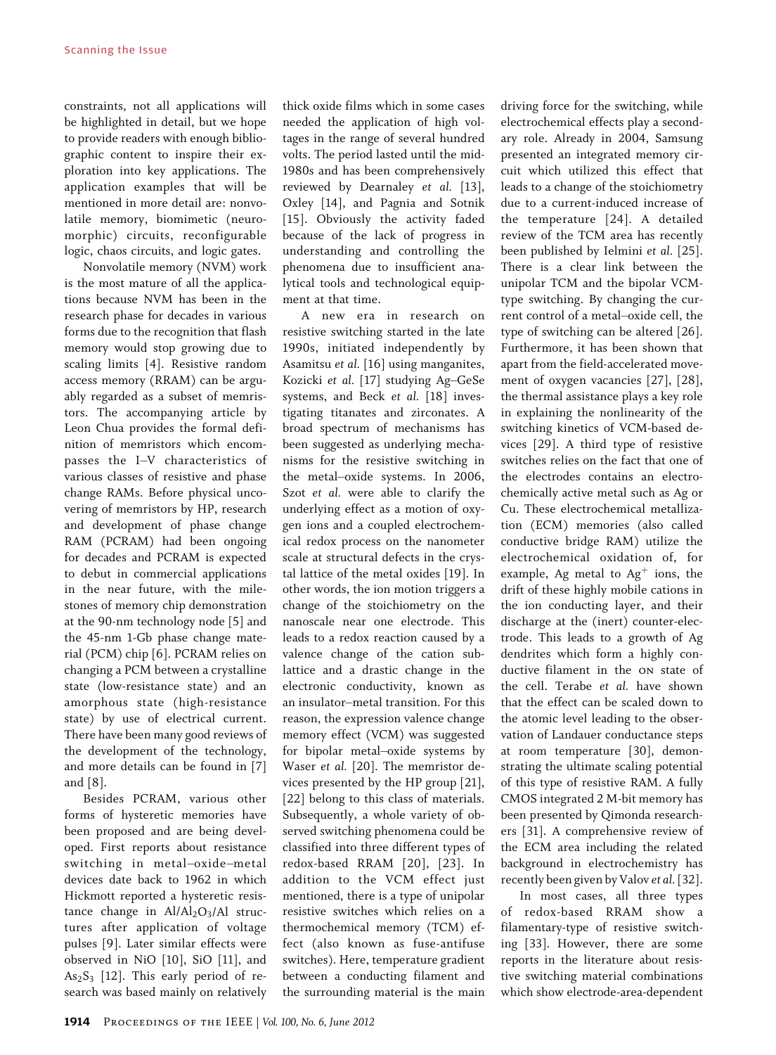constraints, not all applications will be highlighted in detail, but we hope to provide readers with enough bibliographic content to inspire their exploration into key applications. The application examples that will be mentioned in more detail are: nonvolatile memory, biomimetic (neuromorphic) circuits, reconfigurable logic, chaos circuits, and logic gates.

Nonvolatile memory (NVM) work is the most mature of all the applications because NVM has been in the research phase for decades in various forms due to the recognition that flash memory would stop growing due to scaling limits [4]. Resistive random access memory (RRAM) can be arguably regarded as a subset of memristors. The accompanying article by Leon Chua provides the formal definition of memristors which encompasses the I-V characteristics of various classes of resistive and phase change RAMs. Before physical uncovering of memristors by HP, research and development of phase change RAM (PCRAM) had been ongoing for decades and PCRAM is expected to debut in commercial applications in the near future, with the milestones of memory chip demonstration at the 90-nm technology node [5] and the 45-nm 1-Gb phase change material (PCM) chip [6]. PCRAM relies on changing a PCM between a crystalline state (low-resistance state) and an amorphous state (high-resistance state) by use of electrical current. There have been many good reviews of the development of the technology, and more details can be found in [7] and [8].

Besides PCRAM, various other forms of hysteretic memories have been proposed and are being developed. First reports about resistance switching in metal-oxide-metal devices date back to 1962 in which Hickmott reported a hysteretic resistance change in  $Al/Al_2O_3/Al$  structures after application of voltage pulses [9]. Later similar effects were observed in NiO [10], SiO [11], and  $As_2S_3$  [12]. This early period of research was based mainly on relatively

thick oxide films which in some cases needed the application of high voltages in the range of several hundred volts. The period lasted until the mid-1980s and has been comprehensively reviewed by Dearnaley et al. [13], Oxley [14], and Pagnia and Sotnik [15]. Obviously the activity faded because of the lack of progress in understanding and controlling the phenomena due to insufficient analytical tools and technological equipment at that time.

A new era in research on resistive switching started in the late 1990s, initiated independently by Asamitsu et al. [16] using manganites, Kozicki et al. [17] studying Ag-GeSe systems, and Beck et al. [18] investigating titanates and zirconates. A broad spectrum of mechanisms has been suggested as underlying mechanisms for the resistive switching in the metal-oxide systems. In 2006, Szot et al. were able to clarify the underlying effect as a motion of oxygen ions and a coupled electrochemical redox process on the nanometer scale at structural defects in the crystal lattice of the metal oxides [19]. In other words, the ion motion triggers a change of the stoichiometry on the nanoscale near one electrode. This leads to a redox reaction caused by a valence change of the cation sublattice and a drastic change in the electronic conductivity, known as an insulator-metal transition. For this reason, the expression valence change memory effect (VCM) was suggested for bipolar metal-oxide systems by Waser et al. [20]. The memristor devices presented by the HP group [21], [22] belong to this class of materials. Subsequently, a whole variety of observed switching phenomena could be classified into three different types of redox-based RRAM [20], [23]. In addition to the VCM effect just mentioned, there is a type of unipolar resistive switches which relies on a thermochemical memory (TCM) effect (also known as fuse-antifuse switches). Here, temperature gradient between a conducting filament and the surrounding material is the main driving force for the switching, while electrochemical effects play a secondary role. Already in 2004, Samsung presented an integrated memory circuit which utilized this effect that leads to a change of the stoichiometry due to a current-induced increase of the temperature [24]. A detailed review of the TCM area has recently been published by Ielmini et al. [25]. There is a clear link between the unipolar TCM and the bipolar VCMtype switching. By changing the current control of a metal-oxide cell, the type of switching can be altered [26]. Furthermore, it has been shown that apart from the field-accelerated movement of oxygen vacancies [27], [28], the thermal assistance plays a key role in explaining the nonlinearity of the switching kinetics of VCM-based devices [29]. A third type of resistive switches relies on the fact that one of the electrodes contains an electrochemically active metal such as Ag or Cu. These electrochemical metallization (ECM) memories (also called conductive bridge RAM) utilize the electrochemical oxidation of, for example, Ag metal to  $Ag<sup>+</sup>$  ions, the drift of these highly mobile cations in the ion conducting layer, and their discharge at the (inert) counter-electrode. This leads to a growth of Ag dendrites which form a highly conductive filament in the on state of the cell. Terabe et al. have shown that the effect can be scaled down to the atomic level leading to the observation of Landauer conductance steps at room temperature [30], demonstrating the ultimate scaling potential of this type of resistive RAM. A fully CMOS integrated 2 M-bit memory has been presented by Qimonda researchers [31]. A comprehensive review of the ECM area including the related background in electrochemistry has recently been given by Valov et al. [32].

In most cases, all three types of redox-based RRAM show a filamentary-type of resistive switching [33]. However, there are some reports in the literature about resistive switching material combinations which show electrode-area-dependent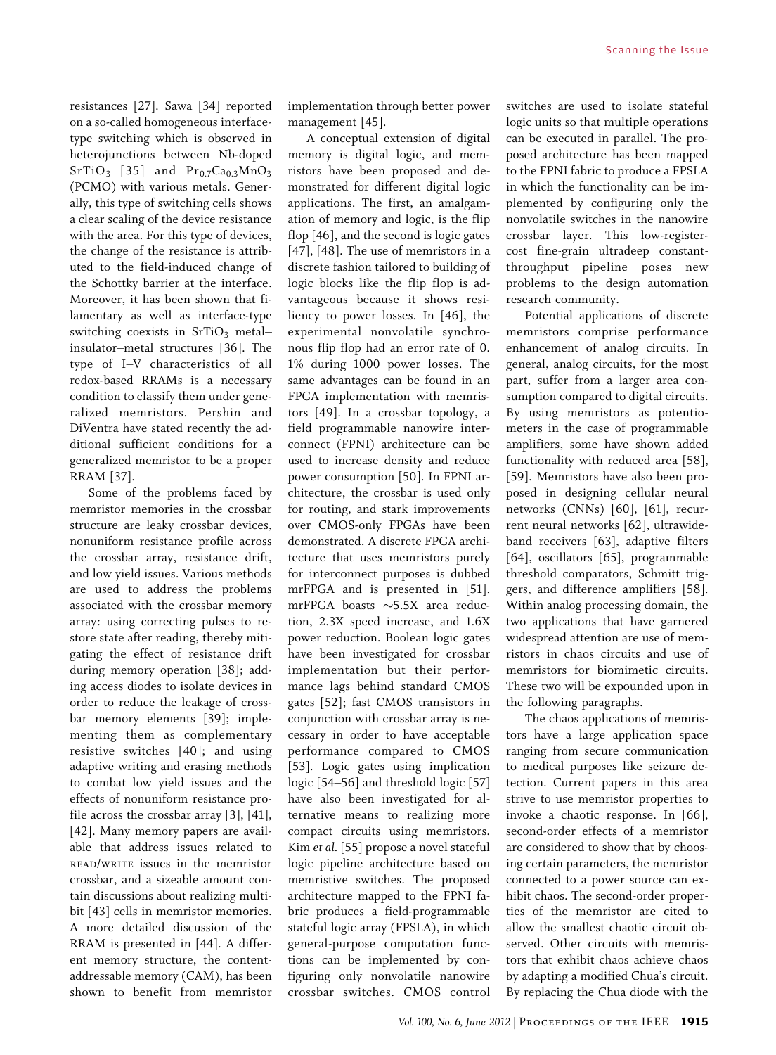resistances [27]. Sawa [34] reported on a so-called homogeneous interfacetype switching which is observed in heterojunctions between Nb-doped  $SrTiO<sub>3</sub>$  [35] and  $Pr<sub>0.7</sub>Ca<sub>0.3</sub>MnO<sub>3</sub>$ (PCMO) with various metals. Generally, this type of switching cells shows a clear scaling of the device resistance with the area. For this type of devices, the change of the resistance is attributed to the field-induced change of the Schottky barrier at the interface. Moreover, it has been shown that filamentary as well as interface-type switching coexists in  $SrTiO<sub>3</sub>$  metalinsulator-metal structures [36]. The type of I-V characteristics of all redox-based RRAMs is a necessary condition to classify them under generalized memristors. Pershin and DiVentra have stated recently the additional sufficient conditions for a generalized memristor to be a proper RRAM [37].

Some of the problems faced by memristor memories in the crossbar structure are leaky crossbar devices, nonuniform resistance profile across the crossbar array, resistance drift, and low yield issues. Various methods are used to address the problems associated with the crossbar memory array: using correcting pulses to restore state after reading, thereby mitigating the effect of resistance drift during memory operation [38]; adding access diodes to isolate devices in order to reduce the leakage of crossbar memory elements [39]; implementing them as complementary resistive switches [40]; and using adaptive writing and erasing methods to combat low yield issues and the effects of nonuniform resistance profile across the crossbar array [3], [41], [42]. Many memory papers are available that address issues related to read/write issues in the memristor crossbar, and a sizeable amount contain discussions about realizing multibit [43] cells in memristor memories. A more detailed discussion of the RRAM is presented in [44]. A different memory structure, the contentaddressable memory (CAM), has been shown to benefit from memristor

implementation through better power management [45].

A conceptual extension of digital memory is digital logic, and memristors have been proposed and demonstrated for different digital logic applications. The first, an amalgamation of memory and logic, is the flip flop [46], and the second is logic gates [47], [48]. The use of memristors in a discrete fashion tailored to building of logic blocks like the flip flop is advantageous because it shows resiliency to power losses. In [46], the experimental nonvolatile synchronous flip flop had an error rate of 0. 1% during 1000 power losses. The same advantages can be found in an FPGA implementation with memristors [49]. In a crossbar topology, a field programmable nanowire interconnect (FPNI) architecture can be used to increase density and reduce power consumption [50]. In FPNI architecture, the crossbar is used only for routing, and stark improvements over CMOS-only FPGAs have been demonstrated. A discrete FPGA architecture that uses memristors purely for interconnect purposes is dubbed mrFPGA and is presented in [51].  $mrFPGA$  boasts  $\sim$ 5.5X area reduction, 2.3X speed increase, and 1.6X power reduction. Boolean logic gates have been investigated for crossbar implementation but their performance lags behind standard CMOS gates [52]; fast CMOS transistors in conjunction with crossbar array is necessary in order to have acceptable performance compared to CMOS [53]. Logic gates using implication logic [54-56] and threshold logic [57] have also been investigated for alternative means to realizing more compact circuits using memristors. Kim et al. [55] propose a novel stateful logic pipeline architecture based on memristive switches. The proposed architecture mapped to the FPNI fabric produces a field-programmable stateful logic array (FPSLA), in which general-purpose computation functions can be implemented by configuring only nonvolatile nanowire crossbar switches. CMOS control

switches are used to isolate stateful logic units so that multiple operations can be executed in parallel. The proposed architecture has been mapped to the FPNI fabric to produce a FPSLA in which the functionality can be implemented by configuring only the nonvolatile switches in the nanowire crossbar layer. This low-registercost fine-grain ultradeep constantthroughput pipeline poses new problems to the design automation research community.

Potential applications of discrete memristors comprise performance enhancement of analog circuits. In general, analog circuits, for the most part, suffer from a larger area consumption compared to digital circuits. By using memristors as potentiometers in the case of programmable amplifiers, some have shown added functionality with reduced area [58], [59]. Memristors have also been proposed in designing cellular neural networks (CNNs) [60], [61], recurrent neural networks [62], ultrawideband receivers [63], adaptive filters [64], oscillators [65], programmable threshold comparators, Schmitt triggers, and difference amplifiers [58]. Within analog processing domain, the two applications that have garnered widespread attention are use of memristors in chaos circuits and use of memristors for biomimetic circuits. These two will be expounded upon in the following paragraphs.

The chaos applications of memristors have a large application space ranging from secure communication to medical purposes like seizure detection. Current papers in this area strive to use memristor properties to invoke a chaotic response. In [66], second-order effects of a memristor are considered to show that by choosing certain parameters, the memristor connected to a power source can exhibit chaos. The second-order properties of the memristor are cited to allow the smallest chaotic circuit observed. Other circuits with memristors that exhibit chaos achieve chaos by adapting a modified Chua's circuit. By replacing the Chua diode with the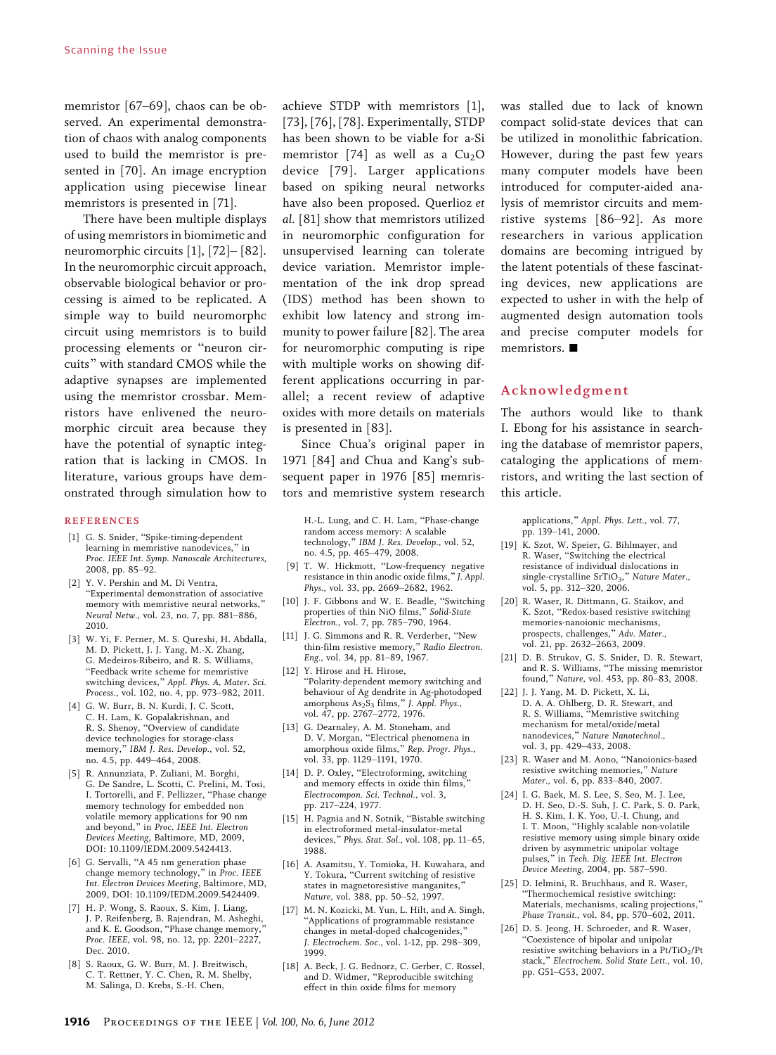memristor  $[67-69]$ , chaos can be observed. An experimental demonstration of chaos with analog components used to build the memristor is presented in [70]. An image encryption application using piecewise linear memristors is presented in [71].

There have been multiple displays of using memristors in biomimetic and neuromorphic circuits  $[1]$ ,  $[72]$ –  $[82]$ . In the neuromorphic circuit approach, observable biological behavior or processing is aimed to be replicated. A simple way to build neuromorphc circuit using memristors is to build processing elements or "neuron circuits" with standard CMOS while the adaptive synapses are implemented using the memristor crossbar. Memristors have enlivened the neuromorphic circuit area because they have the potential of synaptic integration that is lacking in CMOS. In literature, various groups have demonstrated through simulation how to

#### **REFERENCES**

- [1] G. S. Snider, "Spike-timing-dependent learning in memristive nanodevices," in Proc. IEEE Int. Symp. Nanoscale Architectures, 2008, pp. 85-92.
- [2] Y. V. Pershin and M. Di Ventra, "Experimental demonstration of associative memory with memristive neural networks, Neural Netw., vol. 23, no. 7, pp. 881-886, 2010.
- [3] W. Yi, F. Perner, M. S. Qureshi, H. Abdalla, M. D. Pickett, J. J. Yang, M.-X. Zhang, G. Medeiros-Ribeiro, and R. S. Williams, "Feedback write scheme for memristive switching devices," Appl. Phys. A, Mater. Sci. Process., vol. 102, no. 4, pp. 973-982, 2011.
- [4] G. W. Burr, B. N. Kurdi, J. C. Scott, C. H. Lam, K. Gopalakrishnan, and R. S. Shenoy, "Overview of candidate device technologies for storage-class memory," IBM J. Res. Develop., vol. 52, no. 4.5, pp. 449-464, 2008.
- [5] R. Annunziata, P. Zuliani, M. Borghi, G. De Sandre, L. Scotti, C. Prelini, M. Tosi, I. Tortorelli, and F. Pellizzer, "Phase change memory technology for embedded non volatile memory applications for 90 nm and beyond," in Proc. IEEE Int. Electron Devices Meeting, Baltimore, MD, 2009, DOI: 10.1109/IEDM.2009.5424413.
- [6] G. Servalli, "A 45 nm generation phase change memory technology," in *Proc. IEEE*<br>Int. Electron Devices Meeting, Baltimore, MD, 2009, DOI: 10.1109/IEDM.2009.5424409.
- [7] H. P. Wong, S. Raoux, S. Kim, J. Liang, J. P. Reifenberg, B. Rajendran, M. Asheghi, and K. E. Goodson, "Phase change memory,"<br>Proc. IEEE, vol. 98, no. 12, pp. 2201–2227, Dec. 2010.
- [8] S. Raoux, G. W. Burr, M. J. Breitwisch, C. T. Rettner, Y. C. Chen, R. M. Shelby, M. Salinga, D. Krebs, S.-H. Chen,

achieve STDP with memristors [1], [73], [76], [78]. Experimentally, STDP has been shown to be viable for a-Si memristor [74] as well as a  $Cu<sub>2</sub>O$ device [79]. Larger applications based on spiking neural networks have also been proposed. Querlioz et al. [81] show that memristors utilized in neuromorphic configuration for unsupervised learning can tolerate device variation. Memristor implementation of the ink drop spread (IDS) method has been shown to exhibit low latency and strong immunity to power failure [82]. The area for neuromorphic computing is ripe with multiple works on showing different applications occurring in parallel; a recent review of adaptive oxides with more details on materials is presented in [83].

Since Chua's original paper in 1971 [84] and Chua and Kang's subsequent paper in 1976 [85] memristors and memristive system research

H.-L. Lung, and C. H. Lam, "Phase-change random access memory: A scalable technology," IBM J. Res. Develop., vol. 52,<br>no. 4.5, pp. 465–479, 2008.

- [9] T. W. Hickmott, "Low-frequency negative resistance in thin anodic oxide films," J. Appl. Phys., vol. 33, pp. 2669-2682, 1962.
- [10] J. F. Gibbons and W. E. Beadle, "Switching properties of thin NiO films," Solid-State<br>Electron., vol. 7, pp. 785–790, 1964.
- [11] J. G. Simmons and R. R. Verderber, "New thin-film resistive memory," Radio Electron. Eng., vol. 34, pp. 81-89, 1967.
- [12] Y. Hirose and H. Hirose, "Polarity-dependent memory switching and behaviour of Ag dendrite in Ag-photodoped amorphous  $As_2S_3$  films," J. Appl. Phys., vol. 47, pp. 2767-2772, 1976.
- [13] G. Dearnaley, A. M. Stoneham, and D. V. Morgan, "Electrical phenomena in amorphous oxide films," Rep. Progr. Phys., vol. 33, pp. 1129-1191, 1970.
- [14] D. P. Oxley, "Electroforming, switching and memory effects in oxide thin films, Electrocompon. Sci. Technol., vol. 3, pp. 217-224, 1977.
- [15] H. Pagnia and N. Sotnik, "Bistable switching in electroformed metal-insulator-metal devices," Phys. Stat. Sol., vol. 108, pp. 11-65, 1988.
- [16] A. Asamitsu, Y. Tomioka, H. Kuwahara, and Y. Tokura, "Current switching of resistive states in magnetoresistive manganites," Nature, vol. 388, pp. 50-52, 1997.
- [17] M. N. Kozicki, M. Yun, L. Hilt, and A. Singh, "Applications of programmable resistance changes in metal-doped chalcogenides,[ J. Electrochem. Soc., vol. 1-12, pp. 298-309, 1999.
- [18] A. Beck, J. G. Bednorz, C. Gerber, C. Rossel, and D. Widmer, "Reproducible switching effect in thin oxide films for memory

was stalled due to lack of known compact solid-state devices that can be utilized in monolithic fabrication. However, during the past few years many computer models have been introduced for computer-aided analysis of memristor circuits and memristive systems  $[86-92]$ . As more researchers in various application domains are becoming intrigued by the latent potentials of these fascinating devices, new applications are expected to usher in with the help of augmented design automation tools and precise computer models for memristors.  $\blacksquare$ 

#### Acknowledgment

The authors would like to thank I. Ebong for his assistance in searching the database of memristor papers, cataloging the applications of memristors, and writing the last section of this article.

> applications," Appl. Phys. Lett., vol. 77, pp. 139-141, 2000.

- [19] K. Szot, W. Speier, G. Bihlmayer, and R. Waser, "Switching the electrical resistance of individual dislocations in single-crystalline  $SrTiO<sub>3</sub>$ ," Nature Mater., vol. 5, pp. 312-320, 2006.
- [20] R. Waser, R. Dittmann, G. Staikov, and K. Szot, "Redox-based resistive switching memories-nanoionic mechanisms, prospects, challenges," Adv. Mater., vol. 21, pp. 2632-2663, 2009.
- [21] D. B. Strukov, G. S. Snider, D. R. Stewart, and R. S. Williams, "The missing memristor found," Nature, vol. 453, pp. 80-83, 2008.
- [22] J. J. Yang, M. D. Pickett, X. Li, D. A. A. Ohlberg, D. R. Stewart, and R. S. Williams, "Memristive switching mechanism for metal/oxide/metal nanodevices," Nature Nanotechnol., vol. 3, pp. 429-433, 2008.
- [23] R. Waser and M. Aono, "Nanoionics-based resistive switching memories," Nature Mater., vol. 6, pp. 833-840, 2007.
- [24] I. G. Baek, M. S. Lee, S. Seo, M. J. Lee, D. H. Seo, D.-S. Suh, J. C. Park, S. 0. Park, H. S. Kim, I. K. Yoo, U.-I. Chung, and I. T. Moon, "Highly scalable non-volatile resistive memory using simple binary oxide driven by asymmetric unipolar voltage pulses," in Tech. Dig. IEEE Int. Electron Device Meeting, 2004, pp. 587-590.
- [25] D. Ielmini, R. Bruchhaus, and R. Waser, 'Thermochemical resistive switching: Materials, mechanisms, scaling projections," Phase Transit., vol. 84, pp. 570-602, 2011.
- [26] D. S. Jeong, H. Schroeder, and R. Waser, "Coexistence of bipolar and unipolar resistive switching behaviors in a Pt/TiO<sub>2</sub>/Pt stack," Electrochem. Solid State Lett., vol. 10, pp. G51-G53, 2007.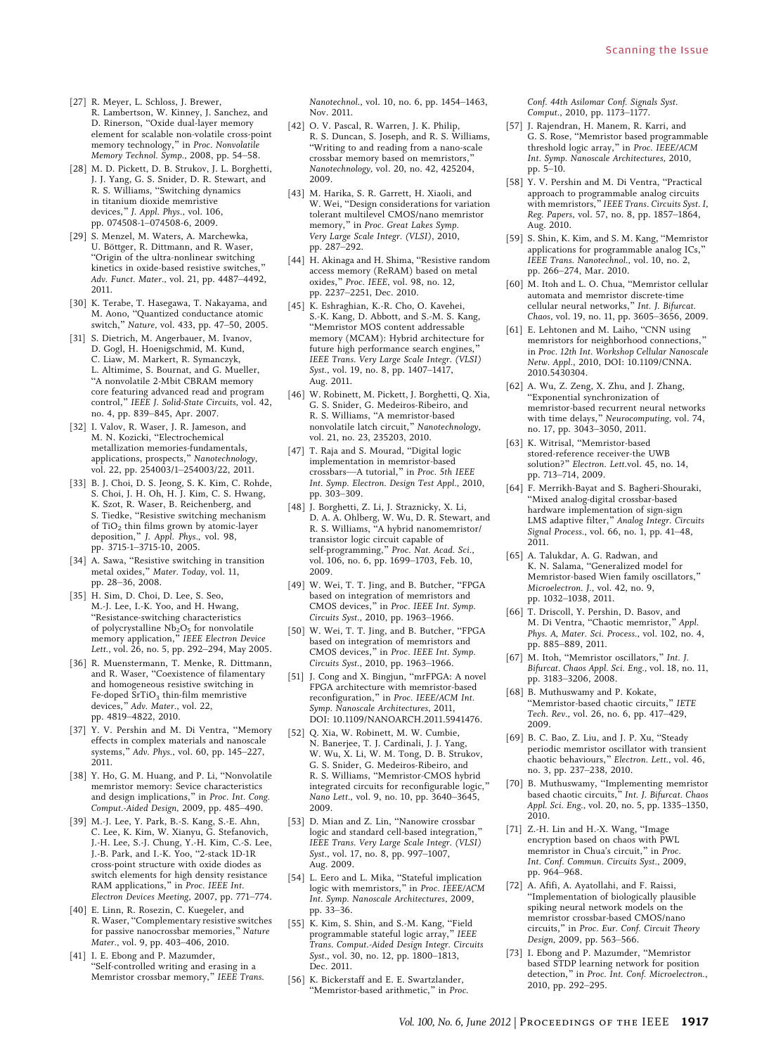- [27] R. Meyer, L. Schloss, J. Brewer, R. Lambertson, W. Kinney, J. Sanchez, and D. Rinerson, "Oxide dual-layer memory element for scalable non-volatile cross-point memory technology," in Proc. Nonvolatile Memory Technol. Symp., 2008, pp. 54-58.
- [28] M. D. Pickett, D. B. Strukov, J. L. Borghetti, J. J. Yang, G. S. Snider, D. R. Stewart, and R. S. Williams, "Switching dynamics in titanium dioxide memristive devices," J. Appl. Phys., vol. 106, pp. 074508-1-074508-6, 2009.
- [29] S. Menzel, M. Waters, A. Marchewka, U. Böttger, R. Dittmann, and R. Waser, "Origin of the ultra-nonlinear switching kinetics in oxide-based resistive switches,"<br>Adv. Funct. Mater., vol. 21, pp. 4487–4492, 2011.
- [30] K. Terabe, T. Hasegawa, T. Nakayama, and M. Aono, "Quantized conductance atomic switch," Nature, vol. 433, pp. 47-50, 2005.
- [31] S. Dietrich, M. Angerbauer, M. Ivanov, D. Gogl, H. Hoenigschmid, M. Kund, C. Liaw, M. Markert, R. Symanczyk, L. Altimime, S. Bournat, and G. Mueller, "A nonvolatile 2-Mbit CBRAM memory core featuring advanced read and program control," IEEE J. Solid-State Circuits, vol. 42, no. 4, pp. 839-845, Apr. 2007.
- [32] I. Valov, R. Waser, J. R. Jameson, and M. N. Kozicki, "Electrochemical metallization memories-fundamentals, applications, prospects," Nanotechnology, vol. 22, pp. 254003/1-254003/22, 2011.
- [33] B. J. Choi, D. S. Jeong, S. K. Kim, C. Rohde, S. Choi, J. H. Oh, H. J. Kim, C. S. Hwang, K. Szot, R. Waser, B. Reichenberg, and S. Tiedke, "Resistive switching mechanism of TiO2 thin films grown by atomic-layer deposition," J. Appl. Phys., vol. 98, pp. 3715-1-3715-10, 2005.
- [34] A. Sawa, "Resistive switching in transition metal oxides," Mater. Today, vol. 11, pp. 28-36, 2008.
- [35] H. Sim, D. Choi, D. Lee, S. Seo, M.-J. Lee, I.-K. Yoo, and H. Hwang, "Resistance-switching characteristics of polycrystalline Nb<sub>2</sub>O<sub>5</sub> for nonvolatile<br>memory application," IEEE Electron Device Lett., vol. 26, no. 5, pp. 292-294, May 2005.
- [36] R. Muenstermann, T. Menke, R. Dittmann, and R. Waser, "Coexistence of filamentary and homogeneous resistive switching in  $Fe-doped SrTiO<sub>3</sub> thin-film\ memristive$ devices," Adv. Mater., vol. 22, pp. 4819-4822, 2010.
- [37] Y. V. Pershin and M. Di Ventra, "Memory effects in complex materials and nanoscale systems," Adv. Phys., vol. 60, pp. 145-227, 2011.
- [38] Y. Ho, G. M. Huang, and P. Li, "Nonvolatile memristor memory: Sevice characteristics and design implications," in Proc. Int. Cong. Comput.-Aided Design, 2009, pp. 485-490.
- [39] M.-J. Lee, Y. Park, B.-S. Kang, S.-E. Ahn, C. Lee, K. Kim, W. Xianyu, G. Stefanovich, J.-H. Lee, S.-J. Chung, Y.-H. Kim, C.-S. Lee, J.-B. Park, and I.-K. Yoo, "2-stack 1D-1R cross-point structure with oxide diodes as switch elements for high density resistance RAM applications," in Proc. IEEE Int. Electron Devices Meeting, 2007, pp. 771-774.
- [40] E. Linn, R. Rosezin, C. Kuegeler, and R. Waser, "Complementary resistive switches for passive nanocrossbar memories," Nature Mater., vol. 9, pp. 403-406, 2010.
- [41] I. E. Ebong and P. Mazumder, "Self-controlled writing and erasing in a Memristor crossbar memory," IEEE Trans.

Nanotechnol., vol. 10, no. 6, pp. 1454-1463, Nov. 2011.

- [42] O. V. Pascal, R. Warren, J. K. Philip, R. S. Duncan, S. Joseph, and R. S. Williams, "Writing to and reading from a nano-scale crossbar memory based on memristors,[ Nanotechnology, vol. 20, no. 42, 425204, 2009.
- [43] M. Harika, S. R. Garrett, H. Xiaoli, and W. Wei, "Design considerations for variation tolerant multilevel CMOS/nano memristor memory," in Proc. Great Lakes Symp. Very Large Scale Integr. (VLSI), 2010, pp. 287-292.
- [44] H. Akinaga and H. Shima, "Resistive random access memory (ReRAM) based on metal oxides," Proc. IEEE, vol. 98, no. 12, pp. 2237-2251, Dec. 2010.
- [45] K. Eshraghian, K.-R. Cho, O. Kavehei, S.-K. Kang, D. Abbott, and S.-M. S. Kang, "Memristor MOS content addressable memory (MCAM): Hybrid architecture for future high performance search engines,[ IEEE Trans. Very Large Scale Integr. (VLSI) Syst., vol. 19, no. 8, pp. 1407-1417, Aug. 2011.
- [46] W. Robinett, M. Pickett, J. Borghetti, Q. Xia, G. S. Snider, G. Medeiros-Ribeiro, and R. S. Williams, "A memristor-based nonvolatile latch circuit," Nanotechnology, vol. 21, no. 23, 235203, 2010.
- [47] T. Raja and S. Mourad, "Digital logic implementation in memristor-based<br>crossbars—A tutorial," in *Proc. 5th IEEE* Int. Symp. Electron. Design Test Appl., 2010, pp. 303-309.
- [48] J. Borghetti, Z. Li, J. Straznicky, X. Li, D. A. A. Ohlberg, W. Wu, D. R. Stewart, and<br>R. S. Williams, "A hybrid nanomemristor/ transistor logic circuit capable of self-programming," Proc. Nat. Acad. Sci., vol. 106, no. 6, pp. 1699-1703, Feb. 10, 2009.
- [49] W. Wei, T. T. Jing, and B. Butcher, "FPGA based on integration of memristors and<br>CMOS devices," in *Proc. IEEE Int. Symp.* Circuits Syst., 2010, pp. 1963-1966.
- [50] W. Wei, T. T. Jing, and B. Butcher, "FPGA based on integration of memristors and<br>CMOS devices," in Proc. IEEE Int. Symp. Circuits Syst., 2010, pp. 1963-1966.
- [51] J. Cong and X. Bingjun, "mrFPGA: A novel FPGA architecture with memristor-based reconfiguration," in Proc. IEEE/ACM Int. Symp. Nanoscale Architectures, 2011, DOI: 10.1109/NANOARCH.2011.5941476.
- [52] Q. Xia, W. Robinett, M. W. Cumbie, N. Banerjee, T. J. Cardinali, J. J. Yang, W. Wu, X. Li, W. M. Tong, D. B. Strukov, G. S. Snider, G. Medeiros-Ribeiro, and R. S. Williams, "Memristor-CMOS hybrid integrated circuits for reconfigurable logic, Nano Lett., vol. 9, no. 10, pp. 3640-3645, 2009.
- [53] D. Mian and Z. Lin, "Nanowire crossbar logic and standard cell-based integration,[ IEEE Trans. Very Large Scale Integr. (VLSI) Syst., vol. 17, no. 8, pp. 997-1007, Aug. 2009.
- [54] L. Eero and L. Mika, "Stateful implication<br>logic with memristors," in *Proc. IEEE/ACM* Int. Symp. Nanoscale Architectures, 2009, pp. 33-36.
- [55] K. Kim, S. Shin, and S.-M. Kang, "Field programmable stateful logic array," IEEE Trans. Comput.-Aided Design Integr. Circuits Syst., vol. 30, no. 12, pp. 1800-1813, Dec. 2011.
- [56] K. Bickerstaff and E. E. Swartzlander, "Memristor-based arithmetic," in Proc.

Conf. 44th Asilomar Conf. Signals Syst. Comput., 2010, pp. 1173-1177.

- [57] J. Rajendran, H. Manem, R. Karri, and G. S. Rose, "Memristor based programmable threshold logic array," in Proc. IEEE/ACM Int. Symp. Nanoscale Architectures, 2010, pp. 5-10.
- [58] Y. V. Pershin and M. Di Ventra, "Practical approach to programmable analog circuits<br>with memristors," IEEE Trans. Circuits Syst. I, Reg. Papers, vol. 57, no. 8, pp. 1857-1864, Aug. 2010.
- [59] S. Shin, K. Kim, and S. M. Kang, "Memristor applications for programmable analog ICs,' IEEE Trans. Nanotechnol., vol. 10, no. 2, pp. 266-274, Mar. 2010.
- [60] M. Itoh and L. O. Chua, "Memristor cellular automata and memristor discrete-time cellular neural networks," Int. J. Bifurcat. Chaos, vol. 19, no. 11, pp. 3605-3656, 2009.
- [61] E. Lehtonen and M. Laiho, "CNN using memristors for neighborhood connections," in Proc. 12th Int. Workshop Cellular Nanoscale Netw. Appl., 2010, DOI: 10.1109/CNNA. 2010.5430304.
- [62] A. Wu, Z. Zeng, X. Zhu, and J. Zhang, "Exponential synchronization of memristor-based recurrent neural networks with time delays," Neurocomputing, vol. 74, no. 17, pp. 3043-3050, 2011.
- [63] K. Witrisal, "Memristor-based stored-reference receiver-the UWB solution?" Electron. Lett.vol. 45, no. 14, pp. 713-714, 2009.
- [64] F. Merrikh-Bayat and S. Bagheri-Shouraki, "Mixed analog-digital crossbar-based hardware implementation of sign-sign LMS adaptive filter," Analog Integr. Circuits Signal Process., vol.  $66$ , no. 1, pp.  $41-48$ , 2011.
- [65] A. Talukdar, A. G. Radwan, and K. N. Salama, "Generalized model for Memristor-based Wien family oscillators," Microelectron. J., vol. 42, no. 9, pp. 1032-1038, 2011.
- [66] T. Driscoll, Y. Pershin, D. Basov, and M. Di Ventra, "Chaotic memristor," Appl. Phys. A, Mater. Sci. Process., vol. 102, no. 4, pp. 885-889, 2011.
- [67] M. Itoh, "Memristor oscillators," Int. J. Bifurcat. Chaos Appl. Sci. Eng., vol. 18, no. 11, pp. 3183-3206, 2008.
- [68] B. Muthuswamy and P. Kokate, "Memristor-based chaotic circuits," IETE Tech. Rev., vol. 26, no. 6, pp. 417-429, 2009.
- [69] B. C. Bao, Z. Liu, and J. P. Xu, "Steady periodic memristor oscillator with transient chaotic behaviours," Electron. Lett., vol. 46, no. 3, pp. 237-238, 2010.
- [70] B. Muthuswamy, "Implementing memristor<br>based chaotic circuits," Int. J. Bifurcat. Chaos Appl. Sci. Eng., vol. 20, no. 5, pp. 1335-1350, 2010.
- [71] Z.-H. Lin and H.-X. Wang, "Image encryption based on chaos with PWL memristor in Chua's circuit," in Proc. Int. Conf. Commun. Circuits Syst., 2009, pp. 964-968.
- [72] A. Afifi, A. Ayatollahi, and F. Raissi, "Implementation of biologically plausible spiking neural network models on the memristor crossbar-based CMOS/nano circuits," in Proc. Eur. Conf. Circuit Theory Design, 2009, pp. 563-566.
- [73] I. Ebong and P. Mazumder, "Memristor based STDP learning network for position detection," in Proc. Int. Conf. Microelectron., 2010, pp. 292-295.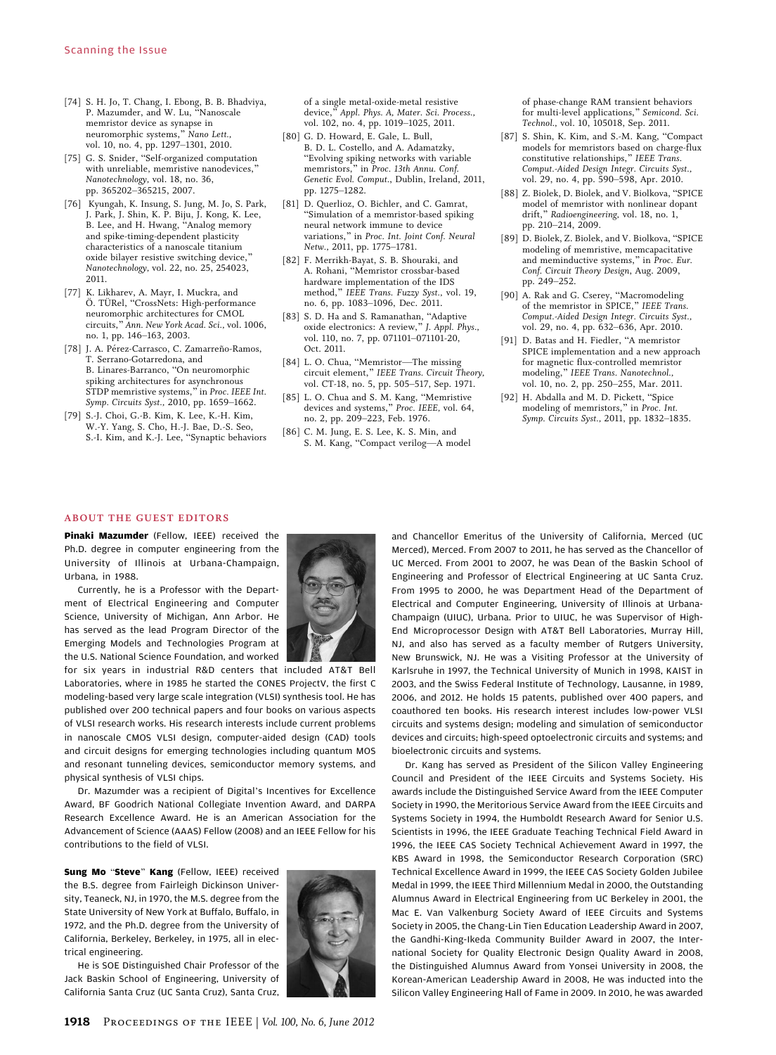- [74] S. H. Jo, T. Chang, I. Ebong, B. B. Bhadviya, P. Mazumder, and W. Lu, "Nanoscale memristor device as synapse in neuromorphic systems," Nano Lett., vol. 10, no. 4, pp. 1297-1301, 2010.
- [75] G. S. Snider, "Self-organized computation with unreliable, memristive nanodevices, Nanotechnology, vol. 18, no. 36, pp. 365202-365215, 2007.
- [76] Kyungah, K. Insung, S. Jung, M. Jo, S. Park, J. Park, J. Shin, K. P. Biju, J. Kong, K. Lee, B. Lee, and H. Hwang, "Analog memory and spike-timing-dependent plasticity characteristics of a nanoscale titanium oxide bilayer resistive switching device," Nanotechnology, vol. 22, no. 25, 254023, 2011.
- [77] K. Likharev, A. Mayr, I. Muckra, and<br>Ö. TÜRel, "CrossNets: High-performance neuromorphic architectures for CMOL circuits," Ann. New York Acad. Sci., vol. 1006, no. 1, pp. 146-163, 2003.
- [78] J. A. Pérez-Carrasco, C. Zamarreño-Ramos, T. Serrano-Gotarredona, and B. Linares-Barranco, "On neuromorphic spiking architectures for asynchronous STDP memristive systems," in Proc. IEEE Int. Symp. Circuits Syst., 2010, pp. 1659-1662.
- [79] S.-J. Choi, G.-B. Kim, K. Lee, K.-H. Kim, W.-Y. Yang, S. Cho, H.-J. Bae, D.-S. Seo, S.-I. Kim, and K.-J. Lee, "Synaptic behaviors

of a single metal-oxide-metal resistive device," Appl. Phys. A, Mater. Sci. Process., vol. 102, no. 4, pp. 1019-1025, 2011.

- [80] G. D. Howard, E. Gale, L. Bull, B. D. L. Costello, and A. Adamatzky, "Evolving spiking networks with variable memristors," in Proc. 13th Annu. Conf. Genetic Evol. Comput., Dublin, Ireland, 2011, pp. 1275-1282.
- [81] D. Querlioz, O. Bichler, and C. Gamrat, "Simulation of a memristor-based spiking neural network immune to device variations," in Proc. Int. Joint Conf. Neural Netw., 2011, pp. 1775-1781.
- [82] F. Merrikh-Bayat, S. B. Shouraki, and A. Rohani, "Memristor crossbar-based hardware implementation of the IDS method," IEEE Trans. Fuzzy Syst., vol. 19, no. 6, pp. 1083-1096, Dec. 2011.
- [83] S. D. Ha and S. Ramanathan, "Adaptive oxide electronics: A review," J. Appl. Phys., vol. 110, no. 7, pp. 071101-071101-20, Oct. 2011.
- [84] L. O. Chua, "Memristor-The missing circuit element," IEEE Trans. Circuit Theory, vol. CT-18, no. 5, pp. 505-517, Sep. 1971.
- [85] L. O. Chua and S. M. Kang, "Memristive devices and systems," Proc. IEEE, vol. 64, no. 2, pp. 209-223, Feb. 1976.
- [86] C. M. Jung, E. S. Lee, K. S. Min, and<br>S. M. Kang, "Compact verilog—A model

of phase-change RAM transient behaviors for multi-level applications," Semicond. Sci. Technol., vol. 10, 105018, Sep. 2011.

- [87] S. Shin, K. Kim, and S.-M. Kang, "Compact models for memristors based on charge-flux constitutive relationships," IEEE Trans. Comput.-Aided Design Integr. Circuits Syst., vol. 29, no. 4, pp. 590-598, Apr. 2010.
- [88] Z. Biolek, D. Biolek, and V. Biolkova, "SPICE model of memristor with nonlinear dopant drift," Radioengineering, vol. 18, no. 1, pp. 210-214, 2009.
- [89] D. Biolek, Z. Biolek, and V. Biolkova, "SPICE modeling of memristive, memcapacitative and meminductive systems," in Proc. Eur. Conf. Circuit Theory Design, Aug. 2009, pp. 249-252.
- [90] A. Rak and G. Cserey, "Macromodeling of the memristor in SPICE," IEEE Trans. Comput.-Aided Design Integr. Circuits Syst., vol. 29, no. 4, pp. 632-636, Apr. 2010.
- [91] D. Batas and H. Fiedler, "A memristor SPICE implementation and a new approach for magnetic flux-controlled memristor modeling," IEEE Trans. Nanotechnol., vol. 10, no. 2, pp. 250-255, Mar. 2011.
- [92] H. Abdalla and M. D. Pickett, "Spice modeling of memristors," in Proc. Int.<br>Symp. Circuits Syst., 2011, pp. 1832–1835.

#### ABOUT THE GUEST EDITORS

**Pinaki Mazumder** (Fellow, IEEE) received the Ph.D. degree in computer engineering from the University of Illinois at Urbana-Champaign, Urbana, in 1988.

Currently, he is a Professor with the Department of Electrical Engineering and Computer Science, University of Michigan, Ann Arbor. He has served as the lead Program Director of the Emerging Models and Technologies Program at the U.S. National Science Foundation, and worked

for six years in industrial R&D centers that included AT&T Bell Laboratories, where in 1985 he started the CONES ProjectV, the first C modeling-based very large scale integration (VLSI) synthesis tool. He has published over 200 technical papers and four books on various aspects of VLSI research works. His research interests include current problems in nanoscale CMOS VLSI design, computer-aided design (CAD) tools and circuit designs for emerging technologies including quantum MOS and resonant tunneling devices, semiconductor memory systems, and physical synthesis of VLSI chips.

Dr. Mazumder was a recipient of Digital's Incentives for Excellence Award, BF Goodrich National Collegiate Invention Award, and DARPA Research Excellence Award. He is an American Association for the Advancement of Science (AAAS) Fellow (2008) and an IEEE Fellow for his contributions to the field of VLSI.

Sung Mo "Steve" Kang (Fellow, IEEE) received the B.S. degree from Fairleigh Dickinson University, Teaneck, NJ, in 1970, the M.S. degree from the State University of New York at Buffalo, Buffalo, in 1972, and the Ph.D. degree from the University of California, Berkeley, Berkeley, in 1975, all in electrical engineering.

He is SOE Distinguished Chair Professor of the Jack Baskin School of Engineering, University of California Santa Cruz (UC Santa Cruz), Santa Cruz,



and Chancellor Emeritus of the University of California, Merced (UC Merced), Merced. From 2007 to 2011, he has served as the Chancellor of UC Merced. From 2001 to 2007, he was Dean of the Baskin School of Engineering and Professor of Electrical Engineering at UC Santa Cruz. From 1995 to 2000, he was Department Head of the Department of Electrical and Computer Engineering, University of Illinois at Urbana-Champaign (UIUC), Urbana. Prior to UIUC, he was Supervisor of High-End Microprocessor Design with AT&T Bell Laboratories, Murray Hill, NJ, and also has served as a faculty member of Rutgers University, New Brunswick, NJ. He was a Visiting Professor at the University of Karlsruhe in 1997, the Technical University of Munich in 1998, KAIST in 2003, and the Swiss Federal Institute of Technology, Lausanne, in 1989, 2006, and 2012. He holds 15 patents, published over 400 papers, and coauthored ten books. His research interest includes low-power VLSI circuits and systems design; modeling and simulation of semiconductor devices and circuits; high-speed optoelectronic circuits and systems; and bioelectronic circuits and systems.

Dr. Kang has served as President of the Silicon Valley Engineering Council and President of the IEEE Circuits and Systems Society. His awards include the Distinguished Service Award from the IEEE Computer Society in 1990, the Meritorious Service Award from the IEEE Circuits and Systems Society in 1994, the Humboldt Research Award for Senior U.S. Scientists in 1996, the IEEE Graduate Teaching Technical Field Award in 1996, the IEEE CAS Society Technical Achievement Award in 1997, the KBS Award in 1998, the Semiconductor Research Corporation (SRC) Technical Excellence Award in 1999, the IEEE CAS Society Golden Jubilee Medal in 1999, the IEEE Third Millennium Medal in 2000, the Outstanding Alumnus Award in Electrical Engineering from UC Berkeley in 2001, the Mac E. Van Valkenburg Society Award of IEEE Circuits and Systems Society in 2005, the Chang-Lin Tien Education Leadership Award in 2007, the Gandhi-King-Ikeda Community Builder Award in 2007, the International Society for Quality Electronic Design Quality Award in 2008, the Distinguished Alumnus Award from Yonsei University in 2008, the Korean-American Leadership Award in 2008, He was inducted into the Silicon Valley Engineering Hall of Fame in 2009. In 2010, he was awarded